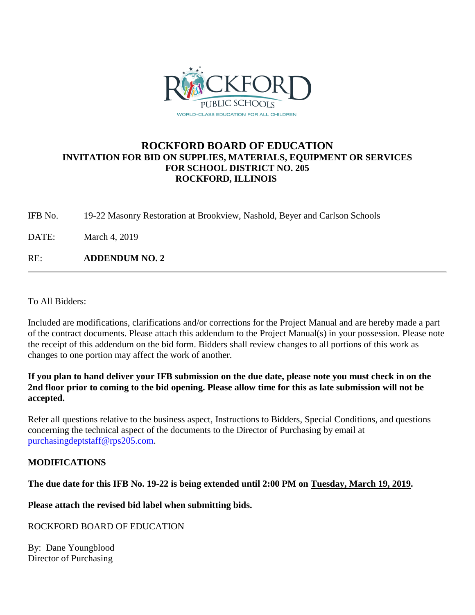

#### **ROCKFORD BOARD OF EDUCATION INVITATION FOR BID ON SUPPLIES, MATERIALS, EQUIPMENT OR SERVICES FOR SCHOOL DISTRICT NO. 205 ROCKFORD, ILLINOIS**

IFB No. 19-22 Masonry Restoration at Brookview, Nashold, Beyer and Carlson Schools

DATE: March 4, 2019

RE: **ADDENDUM NO. 2**

To All Bidders:

Included are modifications, clarifications and/or corrections for the Project Manual and are hereby made a part of the contract documents. Please attach this addendum to the Project Manual(s) in your possession. Please note the receipt of this addendum on the bid form. Bidders shall review changes to all portions of this work as changes to one portion may affect the work of another.

#### **If you plan to hand deliver your IFB submission on the due date, please note you must check in on the 2nd floor prior to coming to the bid opening. Please allow time for this as late submission will not be accepted.**

Refer all questions relative to the business aspect, Instructions to Bidders, Special Conditions, and questions concerning the technical aspect of the documents to the Director of Purchasing by email at [purchasingdeptstaff@rps205.com.](mailto:purchasingdeptstaff@rps205.com)

#### **MODIFICATIONS**

#### **The due date for this IFB No. 19-22 is being extended until 2:00 PM on Tuesday, March 19, 2019.**

**Please attach the revised bid label when submitting bids.**

#### ROCKFORD BOARD OF EDUCATION

By: Dane Youngblood Director of Purchasing